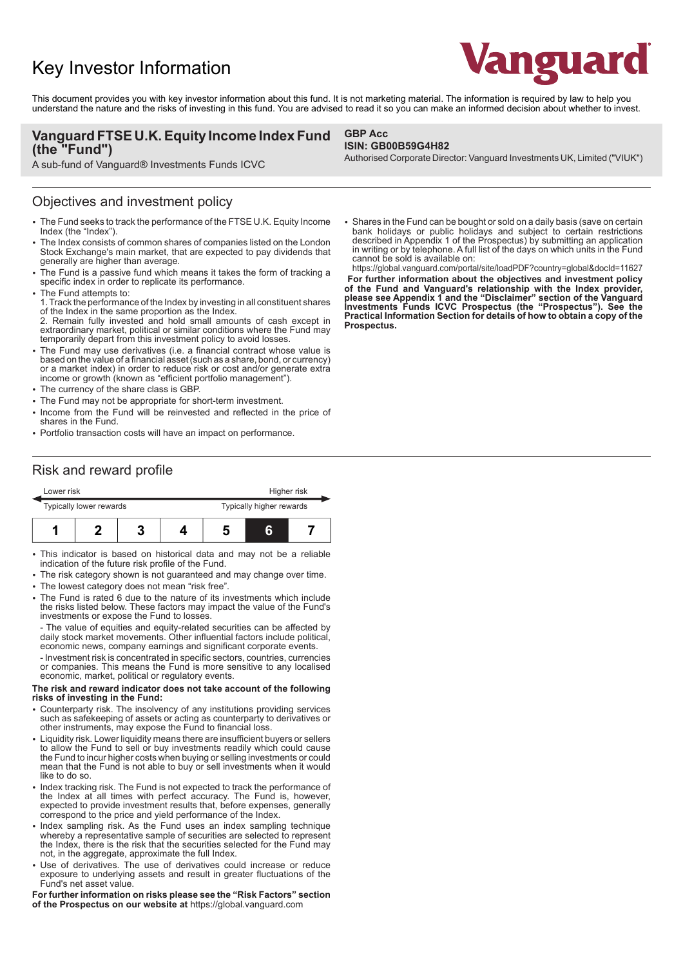# Key Investor Information



This document provides you with key investor information about this fund. It is not marketing material. The information is required by law to help you understand the nature and the risks of investing in this fund. You are advised to read it so you can make an informed decision about whether to invest.

### **Vanguard FTSE U.K. Equity Income Index Fund (the "Fund")**

A sub-fund of Vanguard® Investments Funds ICVC

### Objectives and investment policy

- 2 The Fund seeks to track the performance of the FTSE U.K. Equity Income Index (the "Index").
- The Index consists of common shares of companies listed on the London Stock Exchange's main market, that are expected to pay dividends that generally are higher than average.
- The Fund is a passive fund which means it takes the form of tracking a specific index in order to replicate its performance.
- The Fund attempts to:
- 1. Track the performance of the Index by investing in all constituent shares of the Index in the same proportion as the Index.
- 2. Remain fully invested and hold small amounts of cash except in extraordinary market, political or similar conditions where the Fund may temporarily depart from this investment policy to avoid losses.
- The Fund may use derivatives (i.e. a financial contract whose value is based on the value of a financial asset (such as a share, bond, or currency) or a market index) in order to reduce risk or cost and/or generate extra income or growth (known as "efficient portfolio management").
- The currency of the share class is GBP.
- The Fund may not be appropriate for short-term investment.
- 2 Income from the Fund will be reinvested and reflected in the price of shares in the Fund.
- Portfolio transaction costs will have an impact on performance.

**GBP Acc ISIN: GB00B59G4H82**

Authorised Corporate Director: Vanguard Investments UK, Limited ("VIUK")

• Shares in the Fund can be bought or sold on a daily basis (save on certain bank holidays or public holidays and subject to certain restrictions described in Appendix 1 of the Prospectus) by submitting an application in writing or by telephone. A full list of the days on which units in the Fund cannot be sold is available on: https://global.vanguard.com/portal/site/loadPDF?country=global&docId=11627

 **For further information about the objectives and investment policy of the Fund and Vanguard's relationship with the Index provider, please see Appendix 1 and the "Disclaimer" section of the Vanguard Investments Funds ICVC Prospectus (the "Prospectus"). See the Practical Information Section for details of how to obtain a copy of the Prospectus.** 

### Risk and reward profile

| Lower risk              |  |  |  | Higher risk              |  |  |
|-------------------------|--|--|--|--------------------------|--|--|
| Typically lower rewards |  |  |  | Typically higher rewards |  |  |
|                         |  |  |  |                          |  |  |

- This indicator is based on historical data and may not be a reliable indication of the future risk profile of the Fund.
- The risk category shown is not guaranteed and may change over time.
- The lowest category does not mean "risk free".
- The Fund is rated 6 due to the nature of its investments which include the risks listed below. These factors may impact the value of the Fund's investments or expose the Fund to losses.
- The value of equities and equity-related securities can be affected by daily stock market movements. Other influential factors include political, economic news, company earnings and significant corporate events.

- Investment risk is concentrated in specific sectors, countries, currencies or companies. This means the Fund is more sensitive to any localised economic, market, political or regulatory events.

#### **The risk and reward indicator does not take account of the following risks of investing in the Fund:**

- 2 Counterparty risk. The insolvency of any institutions providing services such as safekeeping of assets or acting as counterparty to derivatives or other instruments, may expose the Fund to financial loss.
- Liquidity risk. Lower liquidity means there are insufficient buyers or sellers to allow the Fund to sell or buy investments readily which could cause the Fund to incur higher costs when buying or selling investments or could mean that the Fund is not able to buy or sell investments when it would like to do so.
- Index tracking risk. The Fund is not expected to track the performance of the Index at all times with perfect accuracy. The Fund is, however, expected to provide investment results that, before expenses, generally correspond to the price and yield performance of the Index.
- Index sampling risk. As the Fund uses an index sampling technique whereby a representative sample of securities are selected to represent the Index, there is the risk that the securities selected for the Fund may not, in the aggregate, approximate the full Index.
- Use of derivatives. The use of derivatives could increase or reduce exposure to underlying assets and result in greater fluctuations of the Fund's net asset value.

**For further information on risks please see the "Risk Factors" section of the Prospectus on our website at** https://global.vanguard.com